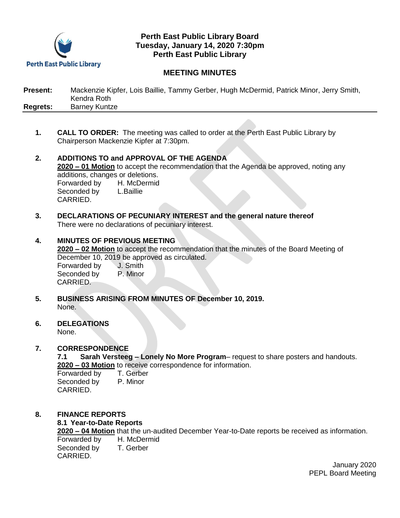

# **Perth East Public Library Board Tuesday, January 14, 2020 7:30pm Perth East Public Library**

# **MEETING MINUTES**

| <b>Present:</b> | Mackenzie Kipfer, Lois Baillie, Tammy Gerber, Hugh McDermid, Patrick Minor, Jerry Smith, |
|-----------------|------------------------------------------------------------------------------------------|
|                 | Kendra Roth                                                                              |
| Regrets:        | <b>Barney Kuntze</b>                                                                     |

- **1. CALL TO ORDER:** The meeting was called to order at the Perth East Public Library by Chairperson Mackenzie Kipfer at 7:30pm.
- **2. ADDITIONS TO and APPROVAL OF THE AGENDA 2020 – 01 Motion** to accept the recommendation that the Agenda be approved, noting any additions, changes or deletions. Forwarded by H. McDermid Seconded by L.Baillie CARRIED.
- **3. DECLARATIONS OF PECUNIARY INTEREST and the general nature thereof** There were no declarations of pecuniary interest.
- **4. MINUTES OF PREVIOUS MEETING 2020 – 02 Motion** to accept the recommendation that the minutes of the Board Meeting of December 10, 2019 be approved as circulated. Forwarded by J. Smith Seconded by P. Minor CARRIED.
- **5. BUSINESS ARISING FROM MINUTES OF December 10, 2019.** None.
- **6. DELEGATIONS**

None.

# **7. CORRESPONDENCE**

**7.1 Sarah Versteeg – Lonely No More Program**– request to share posters and handouts. **2020 – 03 Motion** to receive correspondence for information.

| Forwarded by | T. Gerber |
|--------------|-----------|
| Seconded by  | P. Minor  |
| CARRIED.     |           |

**8. FINANCE REPORTS**

## **8.1 Year-to-Date Reports**

**2020 – 04 Motion** that the un-audited December Year-to-Date reports be received as information. Forwarded by H. McDermid Seconded by T. Gerber CARRIED.

> January 2020 PEPL Board Meeting